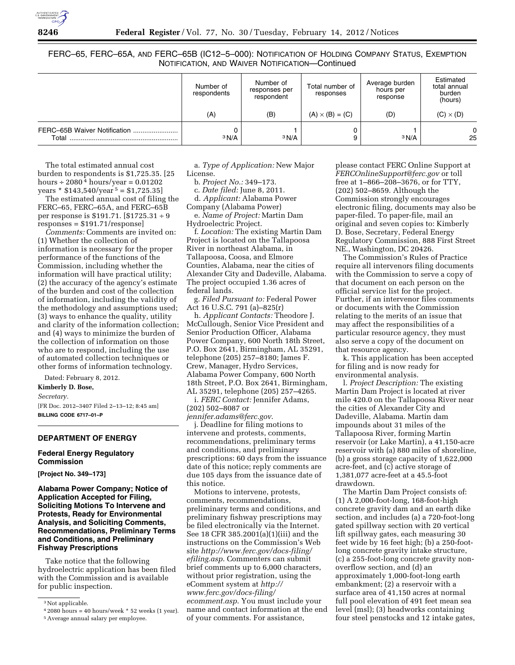FERC–65, FERC–65A, AND FERC–65B (IC12–5–000): NOTIFICATION OF HOLDING COMPANY STATUS, EXEMPTION NOTIFICATION, AND WAIVER NOTIFICATION—Continued

|                                       | Number of<br>respondents | Number of<br>responses per<br>respondent | Total number of<br>responses | Average burden<br>hours per<br>response | Estimated<br>total annual<br>burden<br>(hours) |
|---------------------------------------|--------------------------|------------------------------------------|------------------------------|-----------------------------------------|------------------------------------------------|
|                                       | (A)                      | (B)                                      | $(A) \times (B) = (C)$       | (D)                                     | $(C) \times (D)$                               |
| FERC-65B Waiver Notification<br>Total | 3 N/A                    | 3 N/A                                    |                              | 3 N/A                                   | $\Omega$<br>25                                 |

The total estimated annual cost burden to respondents is \$1,725.35. [25 hours  $\div$  2080<sup>4</sup> hours/year = 0.01202 years  $*$  \$143,540/year<sup>5</sup> = \$1,725.35]

The estimated annual cost of filing the FERC–65, FERC–65A, and FERC–65B per response is \$191.71. [\$1725.31 ÷ 9 responses = \$191.71/response]

*Comments:* Comments are invited on: (1) Whether the collection of information is necessary for the proper performance of the functions of the Commission, including whether the information will have practical utility; (2) the accuracy of the agency's estimate of the burden and cost of the collection of information, including the validity of the methodology and assumptions used; (3) ways to enhance the quality, utility and clarity of the information collection; and (4) ways to minimize the burden of the collection of information on those who are to respond, including the use of automated collection techniques or other forms of information technology.

Dated: February 8, 2012.

**Kimberly D. Bose,** 

*Secretary.* 

[FR Doc. 2012–3407 Filed 2–13–12; 8:45 am] **BILLING CODE 6717–01–P** 

## **DEPARTMENT OF ENERGY**

#### **Federal Energy Regulatory Commission**

**[Project No. 349–173]** 

**Alabama Power Company; Notice of Application Accepted for Filing, Soliciting Motions To Intervene and Protests, Ready for Environmental Analysis, and Soliciting Comments, Recommendations, Preliminary Terms and Conditions, and Preliminary Fishway Prescriptions** 

Take notice that the following hydroelectric application has been filed with the Commission and is available for public inspection.

a. *Type of Application:* New Major License.

b. *Project No.:* 349–173.

c. *Date filed:* June 8, 2011.

d. *Applicant:* Alabama Power

Company (Alabama Power)

e. *Name of Project:* Martin Dam Hydroelectric Project.

f. *Location:* The existing Martin Dam Project is located on the Tallapoosa River in northeast Alabama, in Tallapoosa, Coosa, and Elmore Counties, Alabama, near the cities of Alexander City and Dadeville, Alabama. The project occupied 1.36 acres of federal lands.

g. *Filed Pursuant to:* Federal Power Act 16 U.S.C. 791 (a)–825(r)

h. *Applicant Contacts:* Theodore J. McCullough, Senior Vice President and Senior Production Officer, Alabama Power Company, 600 North 18th Street, P.O. Box 2641, Birmingham, AL 35291, telephone (205) 257–8180; James F. Crew, Manager, Hydro Services, Alabama Power Company, 600 North 18th Street, P.O. Box 2641, Birmingham, AL 35291, telephone (205) 257–4265.

i. *FERC Contact:* Jennifer Adams, (202) 502–8087 or

*[jennifer.adams@ferc.gov](mailto:jennifer.adams@ferc.gov)*.

j. Deadline for filing motions to intervene and protests, comments, recommendations, preliminary terms and conditions, and preliminary prescriptions: 60 days from the issuance date of this notice; reply comments are due 105 days from the issuance date of this notice.

Motions to intervene, protests, comments, recommendations, preliminary terms and conditions, and preliminary fishway prescriptions may be filed electronically via the Internet. See 18 CFR 385.2001(a)(1)(iii) and the instructions on the Commission's Web site *[http://www.ferc.gov/docs-filing/](http://www.ferc.gov/docs-filing/efiling.asp) [efiling.asp](http://www.ferc.gov/docs-filing/efiling.asp)*. Commenters can submit brief comments up to 6,000 characters, without prior registration, using the eComment system at *[http://](http://www.ferc.gov/docs-filing/ecomment.asp) [www.ferc.gov/docs-filing/](http://www.ferc.gov/docs-filing/ecomment.asp)  [ecomment.asp](http://www.ferc.gov/docs-filing/ecomment.asp)*. You must include your name and contact information at the end of your comments. For assistance,

please contact FERC Online Support at *[FERCOnlineSupport@ferc.gov](mailto:FERCOnlineSupport@ferc.gov)* or toll free at 1–866–208–3676, or for TTY, (202) 502–8659. Although the Commission strongly encourages electronic filing, documents may also be paper-filed. To paper-file, mail an original and seven copies to: Kimberly D. Bose, Secretary, Federal Energy Regulatory Commission, 888 First Street NE., Washington, DC 20426.

The Commission's Rules of Practice require all intervenors filing documents with the Commission to serve a copy of that document on each person on the official service list for the project. Further, if an intervenor files comments or documents with the Commission relating to the merits of an issue that may affect the responsibilities of a particular resource agency, they must also serve a copy of the document on that resource agency.

k. This application has been accepted for filing and is now ready for environmental analysis.

l. *Project Description:* The existing Martin Dam Project is located at river mile 420.0 on the Tallapoosa River near the cities of Alexander City and Dadeville, Alabama. Martin dam impounds about 31 miles of the Tallapoosa River, forming Martin reservoir (or Lake Martin), a 41,150-acre reservoir with (a) 880 miles of shoreline, (b) a gross storage capacity of 1,622,000 acre-feet, and (c) active storage of 1,381,077 acre-feet at a 45.5-foot drawdown.

The Martin Dam Project consists of: (1) A 2,000-foot-long, 168-foot-high concrete gravity dam and an earth dike section, and includes (a) a 720-foot-long gated spillway section with 20 vertical lift spillway gates, each measuring 30 feet wide by 16 feet high; (b) a 250-footlong concrete gravity intake structure, (c) a 255-foot-long concrete gravity nonoverflow section, and (d) an approximately 1,000-foot-long earth embankment; (2) a reservoir with a surface area of 41,150 acres at normal full pool elevation of 491 feet mean sea level (msl); (3) headworks containing four steel penstocks and 12 intake gates,

<sup>&</sup>lt;sup>3</sup> Not applicable.

 $42080$  hours = 40 hours/week  $*$  52 weeks (1 year).

<sup>5</sup>Average annual salary per employee.